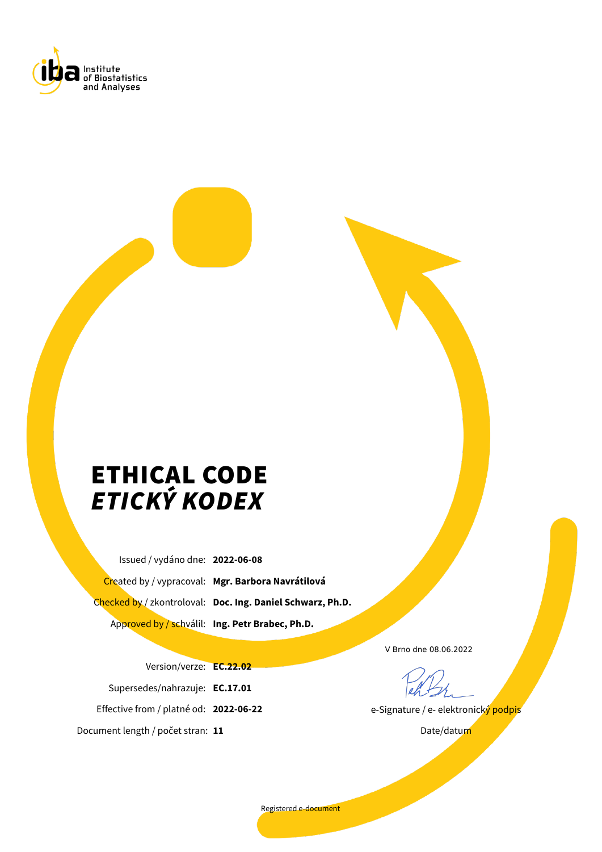

# ETHICAL CODE *ETICKÝ KODEX*

Issued / vydáno dne: **2022-06-08** Created by / vypracoval: **Mgr. Barbora Navrátilová** Checked by / zkontroloval: **Doc. Ing. Daniel Schwarz, Ph.D.** Approved by / schválil: **Ing. Petr Brabec, Ph.D.**

Version/verze: **EC.22.02** Supersedes/nahrazuje: **EC.17.01** Effective from / platné od: **2022-06-22** Document length / počet stran: **11**

V Brno dne 08.06.2022

e-Signature / e- elektronický podpis

Date/datum

Registered e-document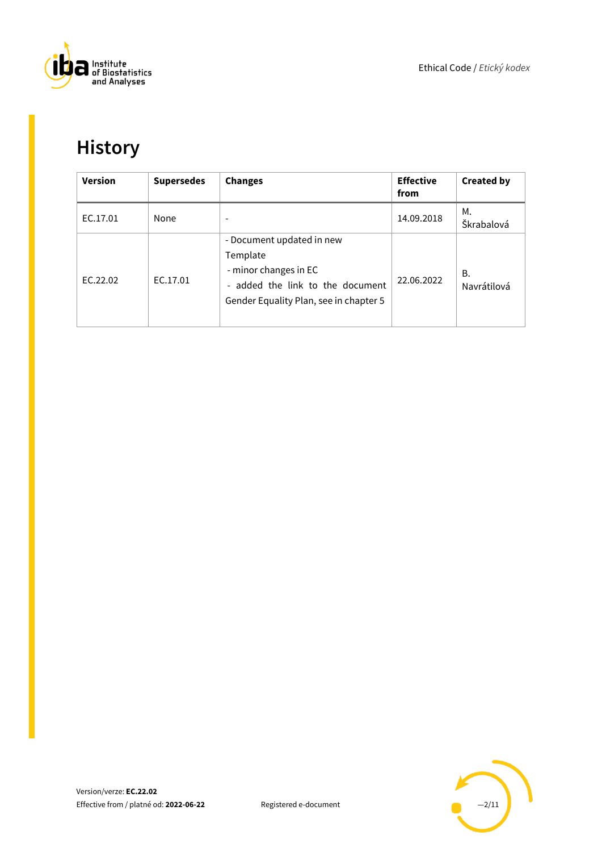

# <span id="page-1-0"></span>**History**

| <b>Version</b> | <b>Supersedes</b> | <b>Changes</b>                                                                                                                               | <b>Effective</b><br>from | <b>Created by</b>        |
|----------------|-------------------|----------------------------------------------------------------------------------------------------------------------------------------------|--------------------------|--------------------------|
| EC.17.01       | None              | $\overline{\phantom{a}}$                                                                                                                     | 14.09.2018               | М.<br>Škrabalová         |
| EC.22.02       | EC.17.01          | - Document updated in new<br>Template<br>- minor changes in EC<br>- added the link to the document<br>Gender Equality Plan, see in chapter 5 | 22.06.2022               | <b>B.</b><br>Navrátilová |

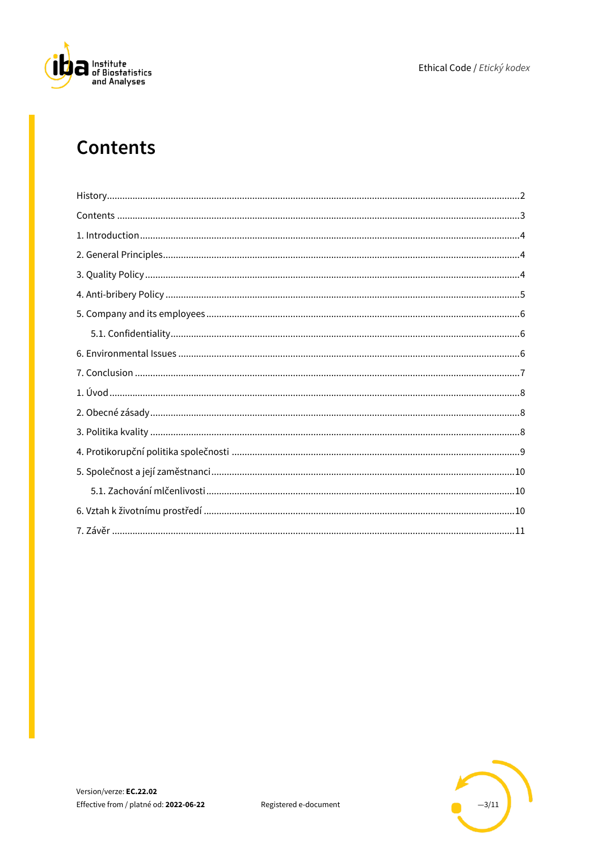

#### <span id="page-2-0"></span>**Contents**

| $Contents \hspace*{2mm} . \hspace*{2mm} . \hspace*{2mm} . \hspace*{2mm} . \hspace*{2mm} . \hspace*{2mm} . \hspace*{2mm} . \hspace*{3mm} . \hspace*{3mm} . \hspace*{3mm} . \hspace*{3mm} . \hspace*{3mm} . \hspace*{3mm} . \hspace*{3mm} . \hspace*{3mm} . \hspace*{3mm} . \hspace*{3mm} . \hspace*{3mm} . \hspace*{3mm} . \hspace*{3mm} . \hspace*{3mm} . \hspace*{3mm} . \hspace*{3mm} . \hspace*{3mm} . \hspace$ |
|--------------------------------------------------------------------------------------------------------------------------------------------------------------------------------------------------------------------------------------------------------------------------------------------------------------------------------------------------------------------------------------------------------------------|
|                                                                                                                                                                                                                                                                                                                                                                                                                    |
|                                                                                                                                                                                                                                                                                                                                                                                                                    |
|                                                                                                                                                                                                                                                                                                                                                                                                                    |
|                                                                                                                                                                                                                                                                                                                                                                                                                    |
|                                                                                                                                                                                                                                                                                                                                                                                                                    |
|                                                                                                                                                                                                                                                                                                                                                                                                                    |
|                                                                                                                                                                                                                                                                                                                                                                                                                    |
|                                                                                                                                                                                                                                                                                                                                                                                                                    |
|                                                                                                                                                                                                                                                                                                                                                                                                                    |
|                                                                                                                                                                                                                                                                                                                                                                                                                    |
|                                                                                                                                                                                                                                                                                                                                                                                                                    |
|                                                                                                                                                                                                                                                                                                                                                                                                                    |
|                                                                                                                                                                                                                                                                                                                                                                                                                    |
|                                                                                                                                                                                                                                                                                                                                                                                                                    |
|                                                                                                                                                                                                                                                                                                                                                                                                                    |
|                                                                                                                                                                                                                                                                                                                                                                                                                    |

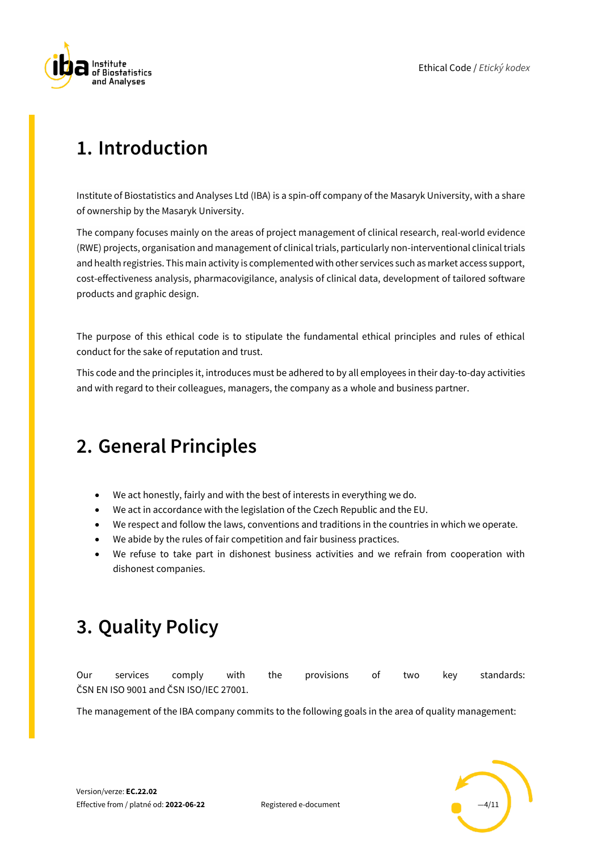

# <span id="page-3-0"></span>**1. Introduction**

Institute of Biostatistics and Analyses Ltd (IBA) is a spin-off company of the Masaryk University, with a share of ownership by the Masaryk University.

The company focuses mainly on the areas of project management of clinical research, real-world evidence (RWE) projects, organisation and management of clinical trials, particularly non-interventional clinical trials and health registries. This main activity is complemented with other services such as market access support, cost-effectiveness analysis, pharmacovigilance, analysis of clinical data, development of tailored software products and graphic design.

The purpose of this ethical code is to stipulate the fundamental ethical principles and rules of ethical conduct for the sake of reputation and trust.

This code and the principles it, introduces must be adhered to by all employees in their day-to-day activities and with regard to their colleagues, managers, the company as a whole and business partner.

#### <span id="page-3-1"></span>**2. General Principles**

- We act honestly, fairly and with the best of interests in everything we do.
- We act in accordance with the legislation of the Czech Republic and the EU.
- We respect and follow the laws, conventions and traditions in the countries in which we operate.
- We abide by the rules of fair competition and fair business practices.
- We refuse to take part in dishonest business activities and we refrain from cooperation with dishonest companies.

#### <span id="page-3-2"></span>**3. Quality Policy**

Our services comply with the provisions of two key standards: ČSN EN ISO 9001 and ČSN ISO/IEC 27001.

The management of the IBA company commits to the following goals in the area of quality management:

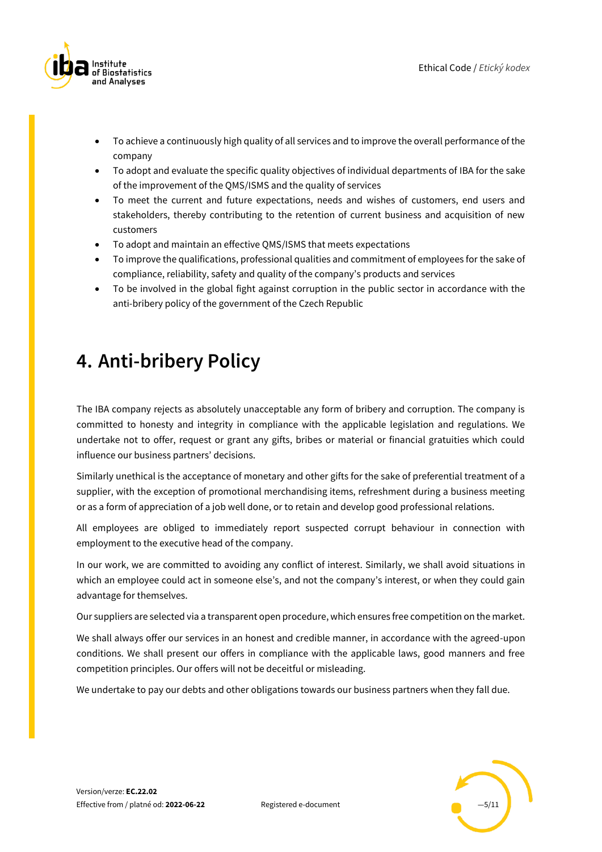

- To achieve a continuously high quality of all services and to improve the overall performance of the company
- To adopt and evaluate the specific quality objectives of individual departments of IBA for the sake of the improvement of the QMS/ISMS and the quality of services
- To meet the current and future expectations, needs and wishes of customers, end users and stakeholders, thereby contributing to the retention of current business and acquisition of new customers
- To adopt and maintain an effective QMS/ISMS that meets expectations
- To improve the qualifications, professional qualities and commitment of employees for the sake of compliance, reliability, safety and quality of the company's products and services
- To be involved in the global fight against corruption in the public sector in accordance with the anti-bribery policy of the government of the Czech Republic

#### <span id="page-4-0"></span>**4. Anti-bribery Policy**

The IBA company rejects as absolutely unacceptable any form of bribery and corruption. The company is committed to honesty and integrity in compliance with the applicable legislation and regulations. We undertake not to offer, request or grant any gifts, bribes or material or financial gratuities which could influence our business partners' decisions.

Similarly unethical is the acceptance of monetary and other gifts for the sake of preferential treatment of a supplier, with the exception of promotional merchandising items, refreshment during a business meeting or as a form of appreciation of a job well done, or to retain and develop good professional relations.

All employees are obliged to immediately report suspected corrupt behaviour in connection with employment to the executive head of the company.

In our work, we are committed to avoiding any conflict of interest. Similarly, we shall avoid situations in which an employee could act in someone else's, and not the company's interest, or when they could gain advantage for themselves.

Our suppliers are selected via a transparent open procedure, which ensures free competition on the market.

We shall always offer our services in an honest and credible manner, in accordance with the agreed-upon conditions. We shall present our offers in compliance with the applicable laws, good manners and free competition principles. Our offers will not be deceitful or misleading.

We undertake to pay our debts and other obligations towards our business partners when they fall due.

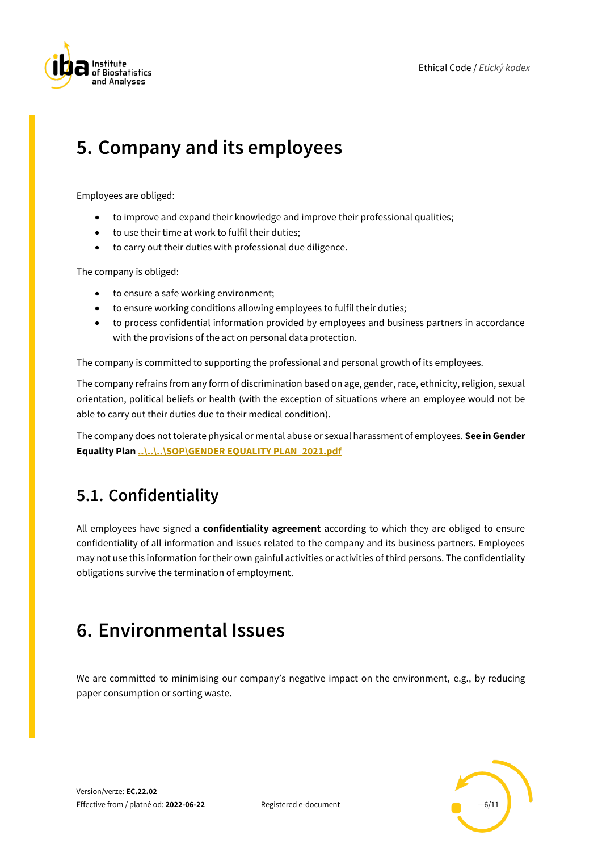

#### <span id="page-5-0"></span>**5. Company and its employees**

Employees are obliged:

- to improve and expand their knowledge and improve their professional qualities;
- to use their time at work to fulfil their duties;
- to carry out their duties with professional due diligence.

The company is obliged:

- to ensure a safe working environment;
- to ensure working conditions allowing employees to fulfil their duties;
- to process confidential information provided by employees and business partners in accordance with the provisions of the act on personal data protection.

The company is committed to supporting the professional and personal growth of its employees.

The company refrains from any form of discrimination based on age, gender, race, ethnicity, religion, sexual orientation, political beliefs or health (with the exception of situations where an employee would not be able to carry out their duties due to their medical condition).

The company does not tolerate physical or mental abuse or sexual harassment of employees. **See in Gender Equality Plan [..\..\..\SOP\GENDER EQUALITY PLAN\\_2021.pdf](../../../SOP/GENDER%20EQUALITY%20PLAN_2021.pdf)**

#### <span id="page-5-1"></span>**5.1. Confidentiality**

All employees have signed a **confidentiality agreement** according to which they are obliged to ensure confidentiality of all information and issues related to the company and its business partners. Employees may not use this information for their own gainful activities or activities of third persons. The confidentiality obligations survive the termination of employment.

#### <span id="page-5-2"></span>**6. Environmental Issues**

We are committed to minimising our company's negative impact on the environment, e.g., by reducing paper consumption or sorting waste.

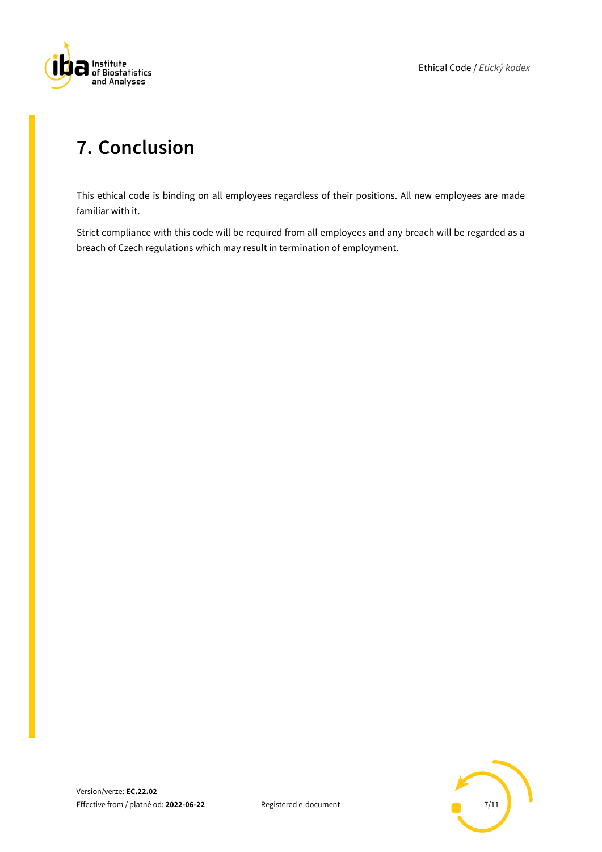

#### <span id="page-6-0"></span>**7. Conclusion**

This ethical code is binding on all employees regardless of their positions. All new employees are made familiar with it.

Strict compliance with this code will be required from all employees and any breach will be regarded as a breach of Czech regulations which may result in termination of employment.

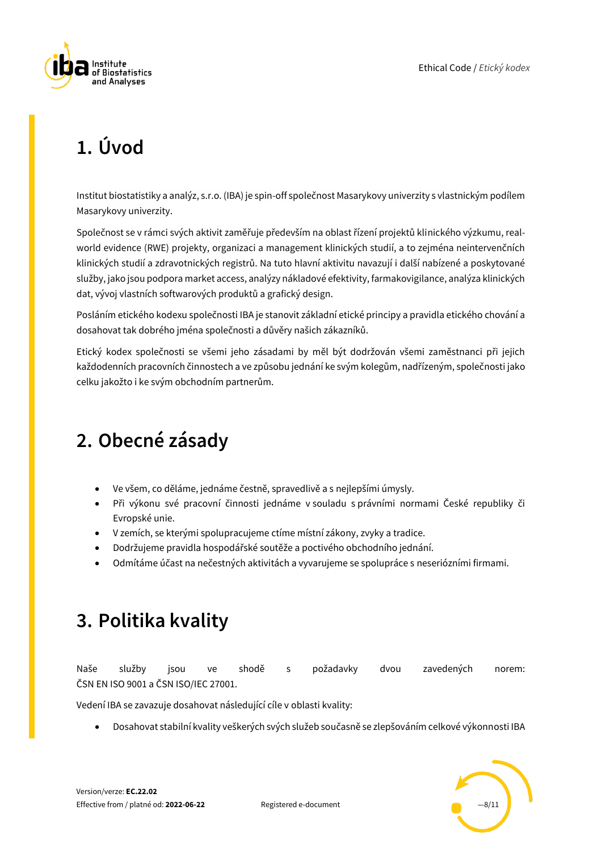

# <span id="page-7-0"></span>**1. Úvod**

Institut biostatistiky a analýz, s.r.o. (IBA) je spin-off společnost Masarykovy univerzity s vlastnickým podílem Masarykovy univerzity.

Společnost se v rámci svých aktivit zaměřuje především na oblast řízení projektů klinického výzkumu, realworld evidence (RWE) projekty, organizaci a management klinických studií, a to zejména neintervenčních klinických studií a zdravotnických registrů. Na tuto hlavní aktivitu navazují i další nabízené a poskytované služby, jako jsou podpora market access, analýzy nákladové efektivity, farmakovigilance, analýza klinických dat, vývoj vlastních softwarových produktů a grafický design.

Posláním etického kodexu společnosti IBA je stanovit základní etické principy a pravidla etického chování a dosahovat tak dobrého jména společnosti a důvěry našich zákazníků.

Etický kodex společnosti se všemi jeho zásadami by měl být dodržován všemi zaměstnanci při jejich každodenních pracovních činnostech a ve způsobu jednání ke svým kolegům, nadřízeným, společnosti jako celku jakožto i ke svým obchodním partnerům.

# <span id="page-7-1"></span>**2. Obecné zásady**

- Ve všem, co děláme, jednáme čestně, spravedlivě a s nejlepšími úmysly.
- Při výkonu své pracovní činnosti jednáme v souladu s právními normami České republiky či Evropské unie.
- V zemích, se kterými spolupracujeme ctíme místní zákony, zvyky a tradice.
- Dodržujeme pravidla hospodářské soutěže a poctivého obchodního jednání.
- Odmítáme účast na nečestných aktivitách a vyvarujeme se spolupráce s neseriózními firmami.

#### <span id="page-7-2"></span>**3. Politika kvality**

Naše služby jsou ve shodě s požadavky dvou zavedených norem: ČSN EN ISO 9001 a ČSN ISO/IEC 27001.

Vedení IBA se zavazuje dosahovat následující cíle v oblasti kvality:

• Dosahovat stabilní kvality veškerých svých služeb současně se zlepšováním celkové výkonnosti IBA

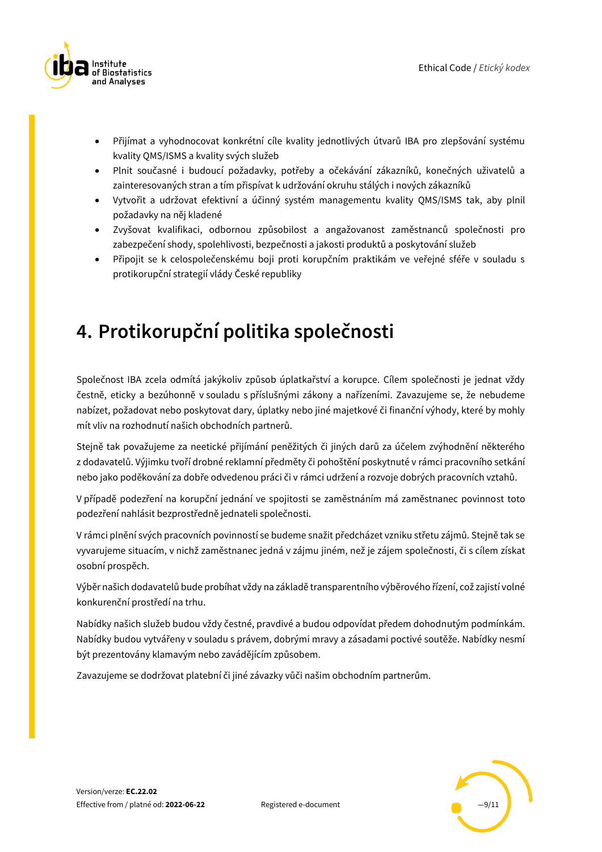

- Přijímat a vyhodnocovat konkrétní cíle kvality jednotlivých útvarů IBA pro zlepšování systému kvality QMS/ISMS a kvality svých služeb
- Plnit současné i budoucí požadavky, potřeby a očekávání zákazníků, konečných uživatelů a zainteresovaných stran a tím přispívat k udržování okruhu stálých i nových zákazníků
- Vytvořit a udržovat efektivní a účinný systém managementu kvality QMS/ISMS tak, aby plnil požadavky na něj kladené
- Zvyšovat kvalifikaci, odbornou způsobilost a angažovanost zaměstnanců společnosti pro zabezpečení shody, spolehlivosti, bezpečnosti a jakosti produktů a poskytování služeb
- Připojit se k celospolečenskému boji proti korupčním praktikám ve veřejné sféře v souladu s protikorupční strategií vlády České republiky

#### <span id="page-8-0"></span>**4. Protikorupční politika společnosti**

Společnost IBA zcela odmítá jakýkoliv způsob úplatkařství a korupce. Cílem společnosti je jednat vždy čestně, eticky a bezúhonně v souladu s příslušnými zákony a nařízeními. Zavazujeme se, že nebudeme nabízet, požadovat nebo poskytovat dary, úplatky nebo jiné majetkové či finanční výhody, které by mohly mít vliv na rozhodnutí našich obchodních partnerů.

Stejně tak považujeme za neetické přijímání peněžitých či jiných darů za účelem zvýhodnění některého z dodavatelů. Výjimku tvoří drobné reklamní předměty či pohoštění poskytnuté v rámci pracovního setkání nebo jako poděkování za dobře odvedenou práci či v rámci udržení a rozvoje dobrých pracovních vztahů.

V případě podezření na korupční jednání ve spojitosti se zaměstnáním má zaměstnanec povinnost toto podezření nahlásit bezprostředně jednateli společnosti.

V rámci plnění svých pracovních povinností se budeme snažit předcházet vzniku střetu zájmů. Stejně tak se vyvarujeme situacím, v nichž zaměstnanec jedná v zájmu jiném, než je zájem společnosti, či s cílem získat osobní prospěch.

Výběr našich dodavatelů bude probíhat vždy na základě transparentního výběrového řízení, což zajistí volné konkurenční prostředí na trhu.

Nabídky našich služeb budou vždy čestné, pravdivé a budou odpovídat předem dohodnutým podmínkám. Nabídky budou vytvářeny v souladu s právem, dobrými mravy a zásadami poctivé soutěže. Nabídky nesmí být prezentovány klamavým nebo zavádějícím způsobem.

Zavazujeme se dodržovat platební či jiné závazky vůči našim obchodním partnerům.

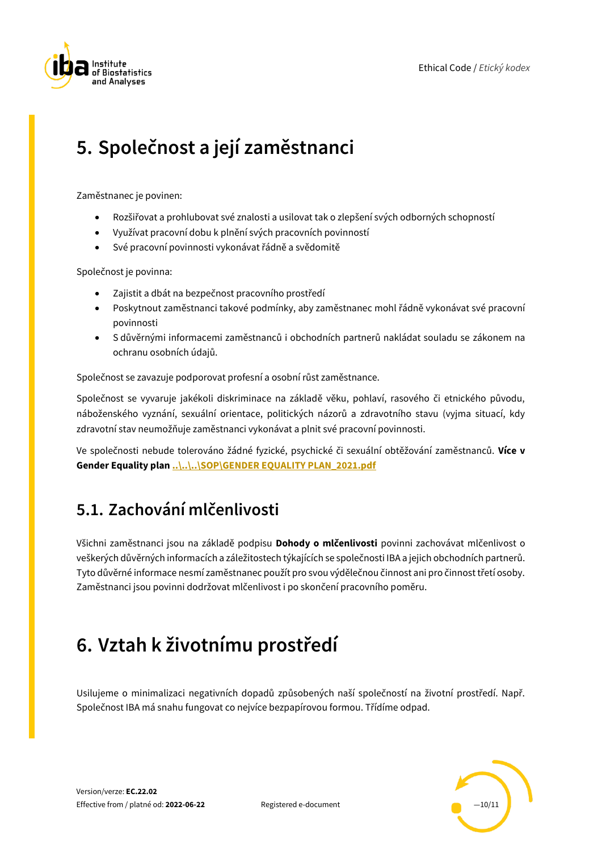

# <span id="page-9-0"></span>**5. Společnost a její zaměstnanci**

Zaměstnanec je povinen:

- Rozšiřovat a prohlubovat své znalosti a usilovat tak o zlepšení svých odborných schopností
- Využívat pracovní dobu k plnění svých pracovních povinností
- Své pracovní povinnosti vykonávat řádně a svědomitě

Společnost je povinna:

- Zajistit a dbát na bezpečnost pracovního prostředí
- Poskytnout zaměstnanci takové podmínky, aby zaměstnanec mohl řádně vykonávat své pracovní povinnosti
- S důvěrnými informacemi zaměstnanců i obchodních partnerů nakládat souladu se zákonem na ochranu osobních údajů.

Společnost se zavazuje podporovat profesní a osobní růst zaměstnance.

Společnost se vyvaruje jakékoli diskriminace na základě věku, pohlaví, rasového či etnického původu, náboženského vyznání, sexuální orientace, politických názorů a zdravotního stavu (vyjma situací, kdy zdravotní stav neumožňuje zaměstnanci vykonávat a plnit své pracovní povinnosti.

Ve společnosti nebude tolerováno žádné fyzické, psychické či sexuální obtěžování zaměstnanců. **Více v Gender Equality plan [..\..\..\SOP\GENDER EQUALITY PLAN\\_2021.pdf](../../../SOP/GENDER%20EQUALITY%20PLAN_2021.pdf)**

#### <span id="page-9-1"></span>**5.1. Zachování mlčenlivosti**

Všichni zaměstnanci jsou na základě podpisu **Dohody o mlčenlivosti** povinni zachovávat mlčenlivost o veškerých důvěrných informacích a záležitostech týkajících se společnosti IBA a jejich obchodních partnerů. Tyto důvěrné informace nesmí zaměstnanec použít pro svou výdělečnou činnost ani pro činnost třetí osoby. Zaměstnanci jsou povinni dodržovat mlčenlivost i po skončení pracovního poměru.

#### <span id="page-9-2"></span>**6. Vztah k životnímu prostředí**

Usilujeme o minimalizaci negativních dopadů způsobených naší společností na životní prostředí. Např. Společnost IBA má snahu fungovat co nejvíce bezpapírovou formou. Třídíme odpad.